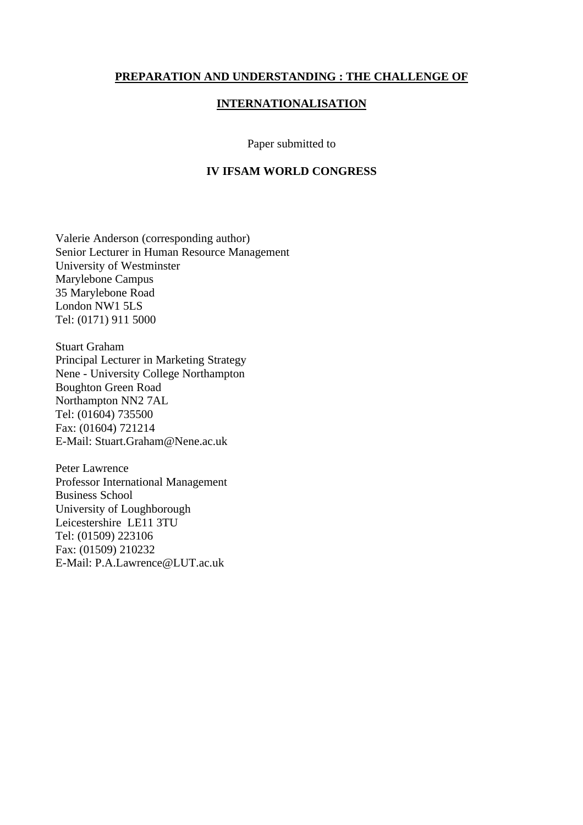#### **PREPARATION AND UNDERSTANDING : THE CHALLENGE OF**

#### **INTERNATIONALISATION**

#### Paper submitted to

## **IV IFSAM WORLD CONGRESS**

Valerie Anderson (corresponding author) Senior Lecturer in Human Resource Management University of Westminster Marylebone Campus 35 Marylebone Road London NW1 5LS Tel: (0171) 911 5000

Stuart Graham Principal Lecturer in Marketing Strategy Nene - University College Northampton Boughton Green Road Northampton NN2 7AL Tel: (01604) 735500 Fax: (01604) 721214 E-Mail: Stuart.Graham@Nene.ac.uk

Peter Lawrence Professor International Management Business School University of Loughborough Leicestershire LE11 3TU Tel: (01509) 223106 Fax: (01509) 210232 E-Mail: P.A.Lawrence@LUT.ac.uk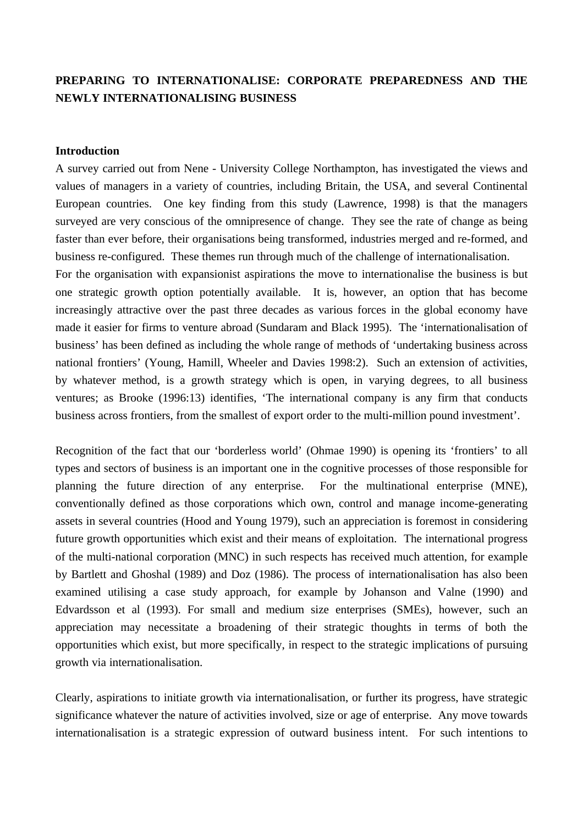# **PREPARING TO INTERNATIONALISE: CORPORATE PREPAREDNESS AND THE NEWLY INTERNATIONALISING BUSINESS**

#### **Introduction**

A survey carried out from Nene - University College Northampton, has investigated the views and values of managers in a variety of countries, including Britain, the USA, and several Continental European countries. One key finding from this study (Lawrence, 1998) is that the managers surveyed are very conscious of the omnipresence of change. They see the rate of change as being faster than ever before, their organisations being transformed, industries merged and re-formed, and business re-configured. These themes run through much of the challenge of internationalisation. For the organisation with expansionist aspirations the move to internationalise the business is but one strategic growth option potentially available. It is, however, an option that has become increasingly attractive over the past three decades as various forces in the global economy have

made it easier for firms to venture abroad (Sundaram and Black 1995). The 'internationalisation of business' has been defined as including the whole range of methods of 'undertaking business across national frontiers' (Young, Hamill, Wheeler and Davies 1998:2). Such an extension of activities, by whatever method, is a growth strategy which is open, in varying degrees, to all business ventures; as Brooke (1996:13) identifies, 'The international company is any firm that conducts business across frontiers, from the smallest of export order to the multi-million pound investment'.

Recognition of the fact that our 'borderless world' (Ohmae 1990) is opening its 'frontiers' to all types and sectors of business is an important one in the cognitive processes of those responsible for planning the future direction of any enterprise. For the multinational enterprise (MNE), conventionally defined as those corporations which own, control and manage income-generating assets in several countries (Hood and Young 1979), such an appreciation is foremost in considering future growth opportunities which exist and their means of exploitation. The international progress of the multi-national corporation (MNC) in such respects has received much attention, for example by Bartlett and Ghoshal (1989) and Doz (1986). The process of internationalisation has also been examined utilising a case study approach, for example by Johanson and Valne (1990) and Edvardsson et al (1993). For small and medium size enterprises (SMEs), however, such an appreciation may necessitate a broadening of their strategic thoughts in terms of both the opportunities which exist, but more specifically, in respect to the strategic implications of pursuing growth via internationalisation.

Clearly, aspirations to initiate growth via internationalisation, or further its progress, have strategic significance whatever the nature of activities involved, size or age of enterprise. Any move towards internationalisation is a strategic expression of outward business intent. For such intentions to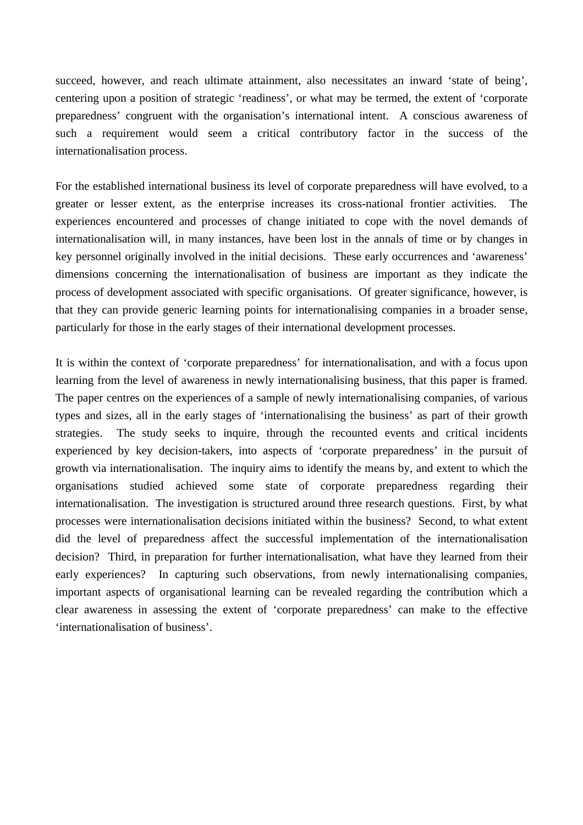succeed, however, and reach ultimate attainment, also necessitates an inward 'state of being', centering upon a position of strategic 'readiness', or what may be termed, the extent of 'corporate preparedness' congruent with the organisation's international intent. A conscious awareness of such a requirement would seem a critical contributory factor in the success of the internationalisation process.

For the established international business its level of corporate preparedness will have evolved, to a greater or lesser extent, as the enterprise increases its cross-national frontier activities. The experiences encountered and processes of change initiated to cope with the novel demands of internationalisation will, in many instances, have been lost in the annals of time or by changes in key personnel originally involved in the initial decisions. These early occurrences and 'awareness' dimensions concerning the internationalisation of business are important as they indicate the process of development associated with specific organisations. Of greater significance, however, is that they can provide generic learning points for internationalising companies in a broader sense, particularly for those in the early stages of their international development processes.

It is within the context of 'corporate preparedness' for internationalisation, and with a focus upon learning from the level of awareness in newly internationalising business, that this paper is framed. The paper centres on the experiences of a sample of newly internationalising companies, of various types and sizes, all in the early stages of 'internationalising the business' as part of their growth strategies. The study seeks to inquire, through the recounted events and critical incidents experienced by key decision-takers, into aspects of 'corporate preparedness' in the pursuit of growth via internationalisation. The inquiry aims to identify the means by, and extent to which the organisations studied achieved some state of corporate preparedness regarding their internationalisation. The investigation is structured around three research questions. First, by what processes were internationalisation decisions initiated within the business? Second, to what extent did the level of preparedness affect the successful implementation of the internationalisation decision? Third, in preparation for further internationalisation, what have they learned from their early experiences? In capturing such observations, from newly internationalising companies, important aspects of organisational learning can be revealed regarding the contribution which a clear awareness in assessing the extent of 'corporate preparedness' can make to the effective 'internationalisation of business'.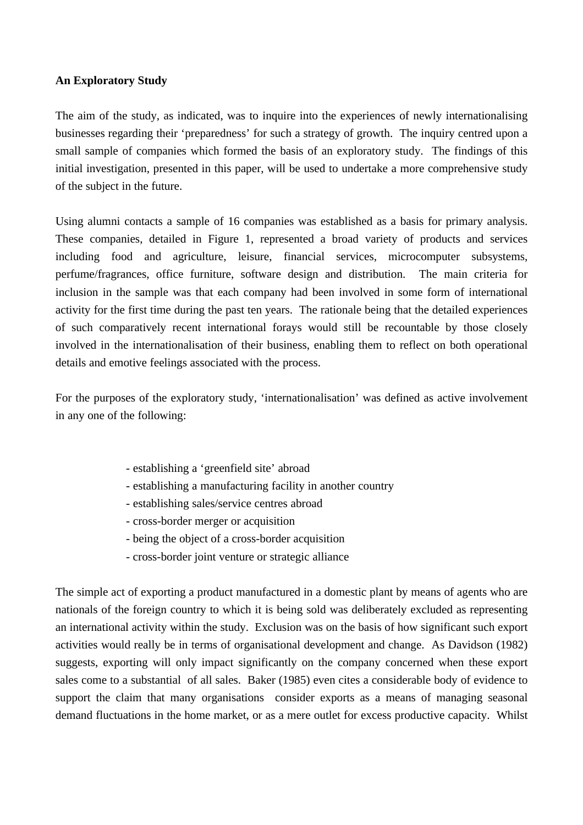# **An Exploratory Study**

The aim of the study, as indicated, was to inquire into the experiences of newly internationalising businesses regarding their 'preparedness' for such a strategy of growth. The inquiry centred upon a small sample of companies which formed the basis of an exploratory study. The findings of this initial investigation, presented in this paper, will be used to undertake a more comprehensive study of the subject in the future.

Using alumni contacts a sample of 16 companies was established as a basis for primary analysis. These companies, detailed in Figure 1, represented a broad variety of products and services including food and agriculture, leisure, financial services, microcomputer subsystems, perfume/fragrances, office furniture, software design and distribution. The main criteria for inclusion in the sample was that each company had been involved in some form of international activity for the first time during the past ten years. The rationale being that the detailed experiences of such comparatively recent international forays would still be recountable by those closely involved in the internationalisation of their business, enabling them to reflect on both operational details and emotive feelings associated with the process.

For the purposes of the exploratory study, 'internationalisation' was defined as active involvement in any one of the following:

- establishing a 'greenfield site' abroad
- establishing a manufacturing facility in another country
- establishing sales/service centres abroad
- cross-border merger or acquisition
- being the object of a cross-border acquisition
- cross-border joint venture or strategic alliance

The simple act of exporting a product manufactured in a domestic plant by means of agents who are nationals of the foreign country to which it is being sold was deliberately excluded as representing an international activity within the study. Exclusion was on the basis of how significant such export activities would really be in terms of organisational development and change. As Davidson (1982) suggests, exporting will only impact significantly on the company concerned when these export sales come to a substantial of all sales. Baker (1985) even cites a considerable body of evidence to support the claim that many organisations consider exports as a means of managing seasonal demand fluctuations in the home market, or as a mere outlet for excess productive capacity. Whilst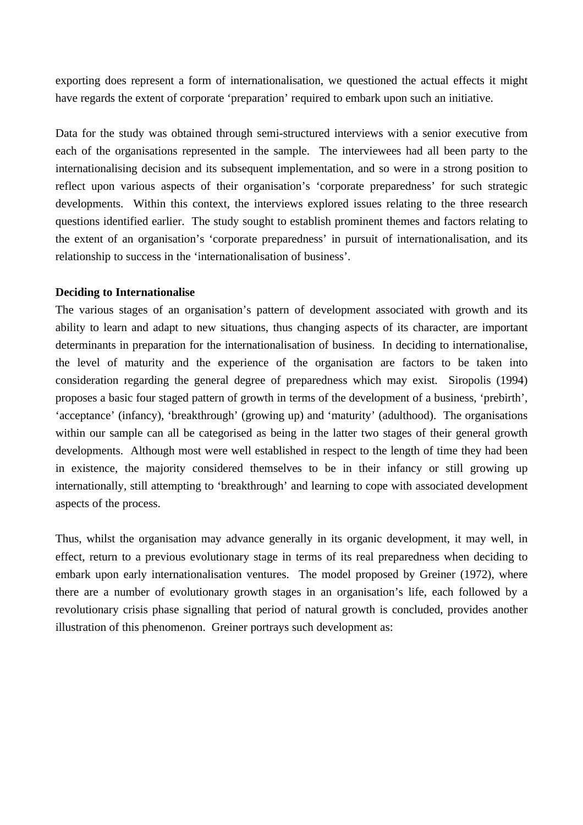exporting does represent a form of internationalisation, we questioned the actual effects it might have regards the extent of corporate 'preparation' required to embark upon such an initiative.

Data for the study was obtained through semi-structured interviews with a senior executive from each of the organisations represented in the sample. The interviewees had all been party to the internationalising decision and its subsequent implementation, and so were in a strong position to reflect upon various aspects of their organisation's 'corporate preparedness' for such strategic developments. Within this context, the interviews explored issues relating to the three research questions identified earlier. The study sought to establish prominent themes and factors relating to the extent of an organisation's 'corporate preparedness' in pursuit of internationalisation, and its relationship to success in the 'internationalisation of business'.

### **Deciding to Internationalise**

The various stages of an organisation's pattern of development associated with growth and its ability to learn and adapt to new situations, thus changing aspects of its character, are important determinants in preparation for the internationalisation of business. In deciding to internationalise, the level of maturity and the experience of the organisation are factors to be taken into consideration regarding the general degree of preparedness which may exist. Siropolis (1994) proposes a basic four staged pattern of growth in terms of the development of a business, 'prebirth', 'acceptance' (infancy), 'breakthrough' (growing up) and 'maturity' (adulthood). The organisations within our sample can all be categorised as being in the latter two stages of their general growth developments. Although most were well established in respect to the length of time they had been in existence, the majority considered themselves to be in their infancy or still growing up internationally, still attempting to 'breakthrough' and learning to cope with associated development aspects of the process.

Thus, whilst the organisation may advance generally in its organic development, it may well, in effect, return to a previous evolutionary stage in terms of its real preparedness when deciding to embark upon early internationalisation ventures. The model proposed by Greiner (1972), where there are a number of evolutionary growth stages in an organisation's life, each followed by a revolutionary crisis phase signalling that period of natural growth is concluded, provides another illustration of this phenomenon. Greiner portrays such development as: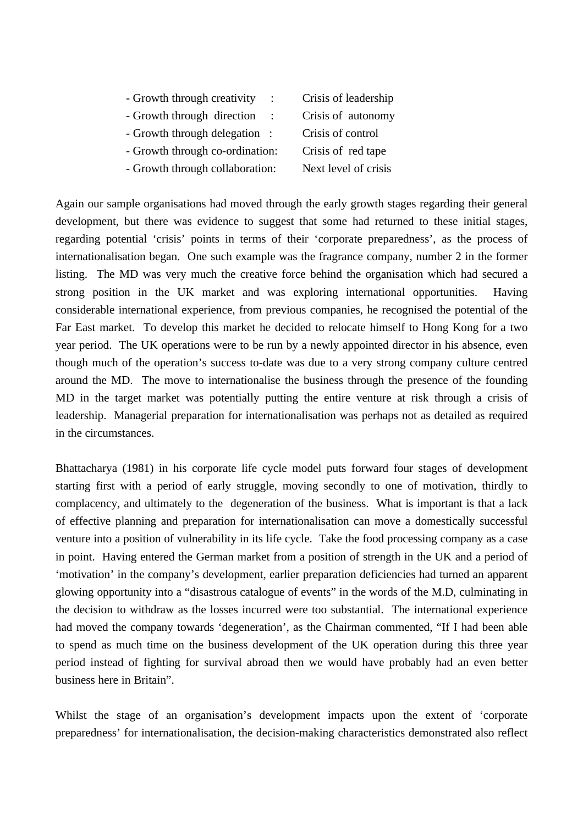- Growth through creativity : Crisis of leadership
- Growth through direction : Crisis of autonomy
- Growth through delegation : Crisis of control
- Growth through co-ordination: Crisis of red tape
- Growth through collaboration: Next level of crisis
- 

Again our sample organisations had moved through the early growth stages regarding their general development, but there was evidence to suggest that some had returned to these initial stages, regarding potential 'crisis' points in terms of their 'corporate preparedness', as the process of internationalisation began. One such example was the fragrance company, number 2 in the former listing. The MD was very much the creative force behind the organisation which had secured a strong position in the UK market and was exploring international opportunities. Having considerable international experience, from previous companies, he recognised the potential of the Far East market. To develop this market he decided to relocate himself to Hong Kong for a two year period. The UK operations were to be run by a newly appointed director in his absence, even though much of the operation's success to-date was due to a very strong company culture centred around the MD. The move to internationalise the business through the presence of the founding MD in the target market was potentially putting the entire venture at risk through a crisis of leadership. Managerial preparation for internationalisation was perhaps not as detailed as required in the circumstances.

Bhattacharya (1981) in his corporate life cycle model puts forward four stages of development starting first with a period of early struggle, moving secondly to one of motivation, thirdly to complacency, and ultimately to the degeneration of the business. What is important is that a lack of effective planning and preparation for internationalisation can move a domestically successful venture into a position of vulnerability in its life cycle. Take the food processing company as a case in point. Having entered the German market from a position of strength in the UK and a period of 'motivation' in the company's development, earlier preparation deficiencies had turned an apparent glowing opportunity into a "disastrous catalogue of events" in the words of the M.D, culminating in the decision to withdraw as the losses incurred were too substantial. The international experience had moved the company towards 'degeneration', as the Chairman commented, "If I had been able to spend as much time on the business development of the UK operation during this three year period instead of fighting for survival abroad then we would have probably had an even better business here in Britain".

Whilst the stage of an organisation's development impacts upon the extent of 'corporate preparedness' for internationalisation, the decision-making characteristics demonstrated also reflect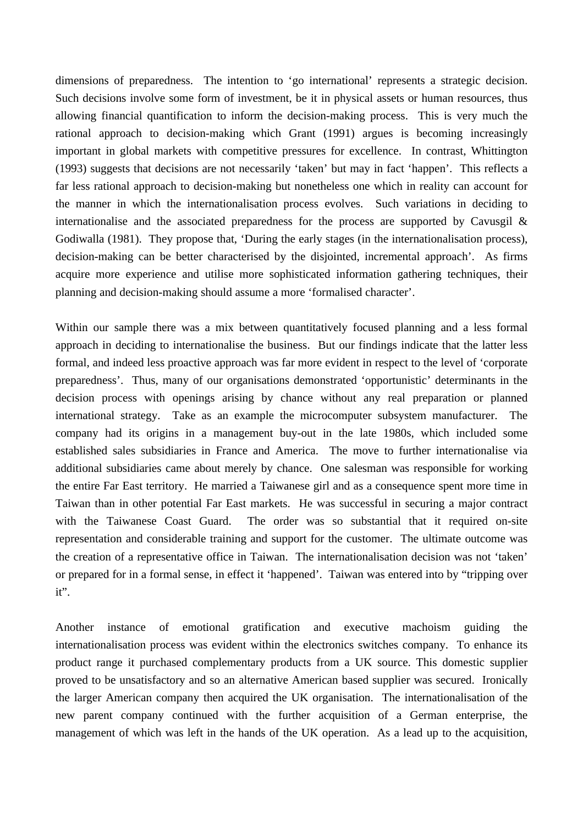dimensions of preparedness. The intention to 'go international' represents a strategic decision. Such decisions involve some form of investment, be it in physical assets or human resources, thus allowing financial quantification to inform the decision-making process. This is very much the rational approach to decision-making which Grant (1991) argues is becoming increasingly important in global markets with competitive pressures for excellence. In contrast, Whittington (1993) suggests that decisions are not necessarily 'taken' but may in fact 'happen'. This reflects a far less rational approach to decision-making but nonetheless one which in reality can account for the manner in which the internationalisation process evolves. Such variations in deciding to internationalise and the associated preparedness for the process are supported by Cavusgil  $\&$ Godiwalla (1981). They propose that, 'During the early stages (in the internationalisation process), decision-making can be better characterised by the disjointed, incremental approach'. As firms acquire more experience and utilise more sophisticated information gathering techniques, their planning and decision-making should assume a more 'formalised character'.

Within our sample there was a mix between quantitatively focused planning and a less formal approach in deciding to internationalise the business. But our findings indicate that the latter less formal, and indeed less proactive approach was far more evident in respect to the level of 'corporate preparedness'. Thus, many of our organisations demonstrated 'opportunistic' determinants in the decision process with openings arising by chance without any real preparation or planned international strategy. Take as an example the microcomputer subsystem manufacturer. The company had its origins in a management buy-out in the late 1980s, which included some established sales subsidiaries in France and America. The move to further internationalise via additional subsidiaries came about merely by chance. One salesman was responsible for working the entire Far East territory. He married a Taiwanese girl and as a consequence spent more time in Taiwan than in other potential Far East markets. He was successful in securing a major contract with the Taiwanese Coast Guard. The order was so substantial that it required on-site representation and considerable training and support for the customer. The ultimate outcome was the creation of a representative office in Taiwan. The internationalisation decision was not 'taken' or prepared for in a formal sense, in effect it 'happened'. Taiwan was entered into by "tripping over it".

Another instance of emotional gratification and executive machoism guiding the internationalisation process was evident within the electronics switches company. To enhance its product range it purchased complementary products from a UK source. This domestic supplier proved to be unsatisfactory and so an alternative American based supplier was secured. Ironically the larger American company then acquired the UK organisation. The internationalisation of the new parent company continued with the further acquisition of a German enterprise, the management of which was left in the hands of the UK operation. As a lead up to the acquisition,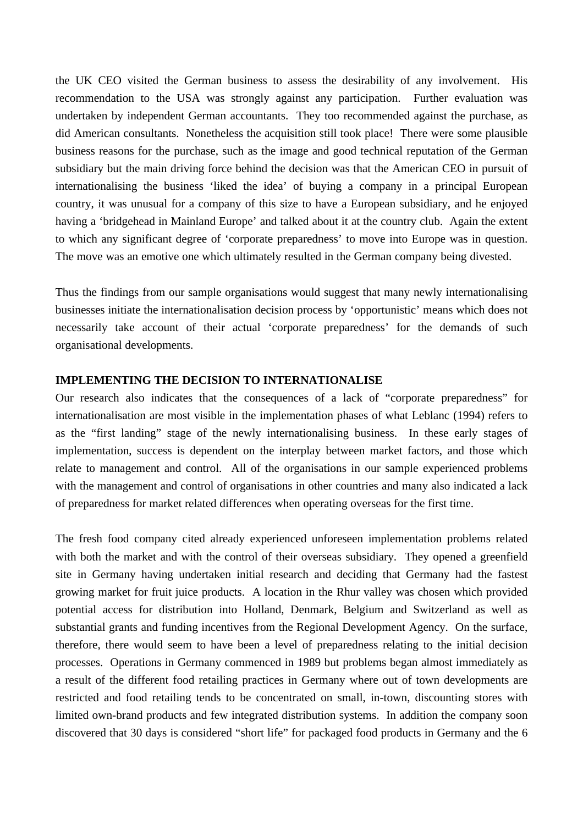the UK CEO visited the German business to assess the desirability of any involvement. His recommendation to the USA was strongly against any participation. Further evaluation was undertaken by independent German accountants. They too recommended against the purchase, as did American consultants. Nonetheless the acquisition still took place! There were some plausible business reasons for the purchase, such as the image and good technical reputation of the German subsidiary but the main driving force behind the decision was that the American CEO in pursuit of internationalising the business 'liked the idea' of buying a company in a principal European country, it was unusual for a company of this size to have a European subsidiary, and he enjoyed having a 'bridgehead in Mainland Europe' and talked about it at the country club. Again the extent to which any significant degree of 'corporate preparedness' to move into Europe was in question. The move was an emotive one which ultimately resulted in the German company being divested.

Thus the findings from our sample organisations would suggest that many newly internationalising businesses initiate the internationalisation decision process by 'opportunistic' means which does not necessarily take account of their actual 'corporate preparedness' for the demands of such organisational developments.

## **IMPLEMENTING THE DECISION TO INTERNATIONALISE**

Our research also indicates that the consequences of a lack of "corporate preparedness" for internationalisation are most visible in the implementation phases of what Leblanc (1994) refers to as the "first landing" stage of the newly internationalising business. In these early stages of implementation, success is dependent on the interplay between market factors, and those which relate to management and control. All of the organisations in our sample experienced problems with the management and control of organisations in other countries and many also indicated a lack of preparedness for market related differences when operating overseas for the first time.

The fresh food company cited already experienced unforeseen implementation problems related with both the market and with the control of their overseas subsidiary. They opened a greenfield site in Germany having undertaken initial research and deciding that Germany had the fastest growing market for fruit juice products. A location in the Rhur valley was chosen which provided potential access for distribution into Holland, Denmark, Belgium and Switzerland as well as substantial grants and funding incentives from the Regional Development Agency. On the surface, therefore, there would seem to have been a level of preparedness relating to the initial decision processes. Operations in Germany commenced in 1989 but problems began almost immediately as a result of the different food retailing practices in Germany where out of town developments are restricted and food retailing tends to be concentrated on small, in-town, discounting stores with limited own-brand products and few integrated distribution systems. In addition the company soon discovered that 30 days is considered "short life" for packaged food products in Germany and the 6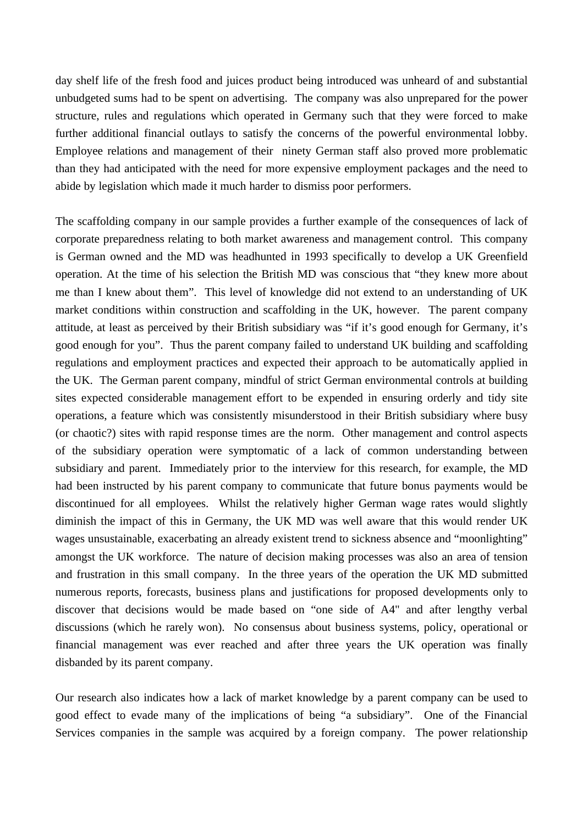day shelf life of the fresh food and juices product being introduced was unheard of and substantial unbudgeted sums had to be spent on advertising. The company was also unprepared for the power structure, rules and regulations which operated in Germany such that they were forced to make further additional financial outlays to satisfy the concerns of the powerful environmental lobby. Employee relations and management of their ninety German staff also proved more problematic than they had anticipated with the need for more expensive employment packages and the need to abide by legislation which made it much harder to dismiss poor performers.

The scaffolding company in our sample provides a further example of the consequences of lack of corporate preparedness relating to both market awareness and management control. This company is German owned and the MD was headhunted in 1993 specifically to develop a UK Greenfield operation. At the time of his selection the British MD was conscious that "they knew more about me than I knew about them". This level of knowledge did not extend to an understanding of UK market conditions within construction and scaffolding in the UK, however. The parent company attitude, at least as perceived by their British subsidiary was "if it's good enough for Germany, it's good enough for you". Thus the parent company failed to understand UK building and scaffolding regulations and employment practices and expected their approach to be automatically applied in the UK. The German parent company, mindful of strict German environmental controls at building sites expected considerable management effort to be expended in ensuring orderly and tidy site operations, a feature which was consistently misunderstood in their British subsidiary where busy (or chaotic?) sites with rapid response times are the norm. Other management and control aspects of the subsidiary operation were symptomatic of a lack of common understanding between subsidiary and parent. Immediately prior to the interview for this research, for example, the MD had been instructed by his parent company to communicate that future bonus payments would be discontinued for all employees. Whilst the relatively higher German wage rates would slightly diminish the impact of this in Germany, the UK MD was well aware that this would render UK wages unsustainable, exacerbating an already existent trend to sickness absence and "moonlighting" amongst the UK workforce. The nature of decision making processes was also an area of tension and frustration in this small company. In the three years of the operation the UK MD submitted numerous reports, forecasts, business plans and justifications for proposed developments only to discover that decisions would be made based on "one side of A4" and after lengthy verbal discussions (which he rarely won). No consensus about business systems, policy, operational or financial management was ever reached and after three years the UK operation was finally disbanded by its parent company.

Our research also indicates how a lack of market knowledge by a parent company can be used to good effect to evade many of the implications of being "a subsidiary". One of the Financial Services companies in the sample was acquired by a foreign company. The power relationship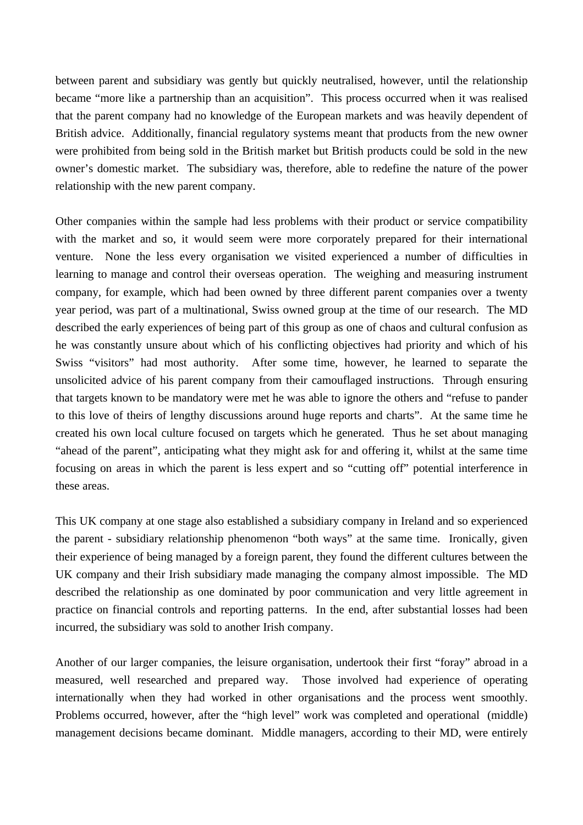between parent and subsidiary was gently but quickly neutralised, however, until the relationship became "more like a partnership than an acquisition". This process occurred when it was realised that the parent company had no knowledge of the European markets and was heavily dependent of British advice. Additionally, financial regulatory systems meant that products from the new owner were prohibited from being sold in the British market but British products could be sold in the new owner's domestic market. The subsidiary was, therefore, able to redefine the nature of the power relationship with the new parent company.

Other companies within the sample had less problems with their product or service compatibility with the market and so, it would seem were more corporately prepared for their international venture. None the less every organisation we visited experienced a number of difficulties in learning to manage and control their overseas operation. The weighing and measuring instrument company, for example, which had been owned by three different parent companies over a twenty year period, was part of a multinational, Swiss owned group at the time of our research. The MD described the early experiences of being part of this group as one of chaos and cultural confusion as he was constantly unsure about which of his conflicting objectives had priority and which of his Swiss "visitors" had most authority. After some time, however, he learned to separate the unsolicited advice of his parent company from their camouflaged instructions. Through ensuring that targets known to be mandatory were met he was able to ignore the others and "refuse to pander to this love of theirs of lengthy discussions around huge reports and charts". At the same time he created his own local culture focused on targets which he generated. Thus he set about managing "ahead of the parent", anticipating what they might ask for and offering it, whilst at the same time focusing on areas in which the parent is less expert and so "cutting off" potential interference in these areas.

This UK company at one stage also established a subsidiary company in Ireland and so experienced the parent - subsidiary relationship phenomenon "both ways" at the same time. Ironically, given their experience of being managed by a foreign parent, they found the different cultures between the UK company and their Irish subsidiary made managing the company almost impossible. The MD described the relationship as one dominated by poor communication and very little agreement in practice on financial controls and reporting patterns. In the end, after substantial losses had been incurred, the subsidiary was sold to another Irish company.

Another of our larger companies, the leisure organisation, undertook their first "foray" abroad in a measured, well researched and prepared way. Those involved had experience of operating internationally when they had worked in other organisations and the process went smoothly. Problems occurred, however, after the "high level" work was completed and operational (middle) management decisions became dominant. Middle managers, according to their MD, were entirely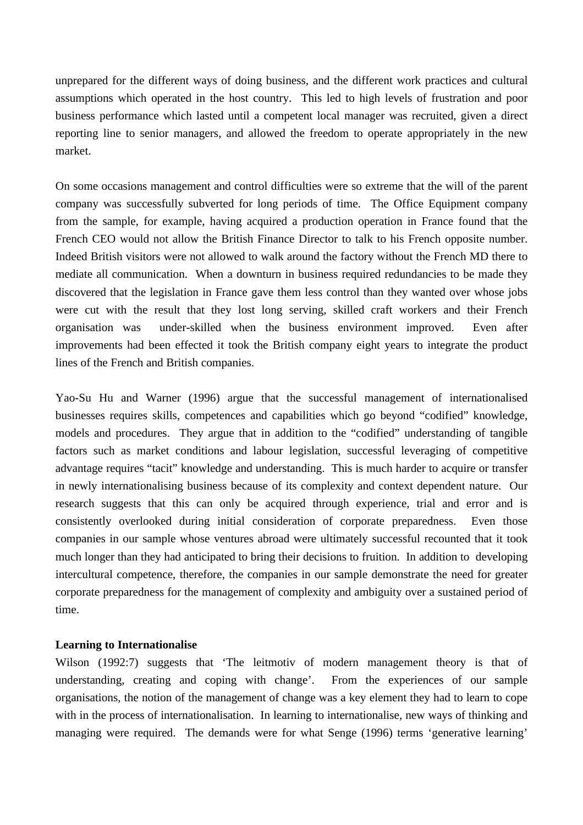unprepared for the different ways of doing business, and the different work practices and cultural assumptions which operated in the host country. This led to high levels of frustration and poor business performance which lasted until a competent local manager was recruited, given a direct reporting line to senior managers, and allowed the freedom to operate appropriately in the new market.

On some occasions management and control difficulties were so extreme that the will of the parent company was successfully subverted for long periods of time. The Office Equipment company from the sample, for example, having acquired a production operation in France found that the French CEO would not allow the British Finance Director to talk to his French opposite number. Indeed British visitors were not allowed to walk around the factory without the French MD there to mediate all communication. When a downturn in business required redundancies to be made they discovered that the legislation in France gave them less control than they wanted over whose jobs were cut with the result that they lost long serving, skilled craft workers and their French organisation was under-skilled when the business environment improved. Even after improvements had been effected it took the British company eight years to integrate the product lines of the French and British companies.

Yao-Su Hu and Warner (1996) argue that the successful management of internationalised businesses requires skills, competences and capabilities which go beyond "codified" knowledge, models and procedures. They argue that in addition to the "codified" understanding of tangible factors such as market conditions and labour legislation, successful leveraging of competitive advantage requires "tacit" knowledge and understanding. This is much harder to acquire or transfer in newly internationalising business because of its complexity and context dependent nature. Our research suggests that this can only be acquired through experience, trial and error and is consistently overlooked during initial consideration of corporate preparedness. Even those companies in our sample whose ventures abroad were ultimately successful recounted that it took much longer than they had anticipated to bring their decisions to fruition. In addition to developing intercultural competence, therefore, the companies in our sample demonstrate the need for greater corporate preparedness for the management of complexity and ambiguity over a sustained period of time.

### **Learning to Internationalise**

Wilson (1992:7) suggests that 'The leitmotiv of modern management theory is that of understanding, creating and coping with change'. From the experiences of our sample organisations, the notion of the management of change was a key element they had to learn to cope with in the process of internationalisation. In learning to internationalise, new ways of thinking and managing were required. The demands were for what Senge (1996) terms 'generative learning'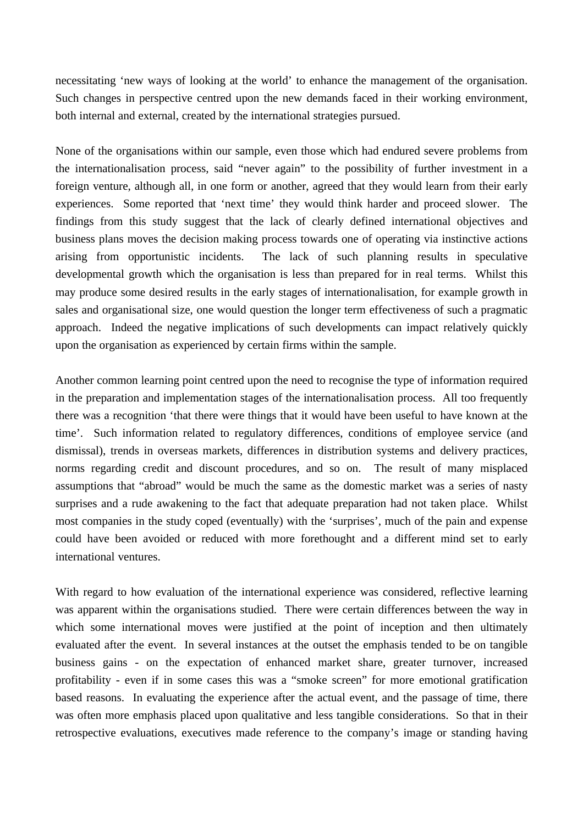necessitating 'new ways of looking at the world' to enhance the management of the organisation. Such changes in perspective centred upon the new demands faced in their working environment, both internal and external, created by the international strategies pursued.

None of the organisations within our sample, even those which had endured severe problems from the internationalisation process, said "never again" to the possibility of further investment in a foreign venture, although all, in one form or another, agreed that they would learn from their early experiences. Some reported that 'next time' they would think harder and proceed slower. The findings from this study suggest that the lack of clearly defined international objectives and business plans moves the decision making process towards one of operating via instinctive actions arising from opportunistic incidents. The lack of such planning results in speculative developmental growth which the organisation is less than prepared for in real terms. Whilst this may produce some desired results in the early stages of internationalisation, for example growth in sales and organisational size, one would question the longer term effectiveness of such a pragmatic approach. Indeed the negative implications of such developments can impact relatively quickly upon the organisation as experienced by certain firms within the sample.

Another common learning point centred upon the need to recognise the type of information required in the preparation and implementation stages of the internationalisation process. All too frequently there was a recognition 'that there were things that it would have been useful to have known at the time'. Such information related to regulatory differences, conditions of employee service (and dismissal), trends in overseas markets, differences in distribution systems and delivery practices, norms regarding credit and discount procedures, and so on. The result of many misplaced assumptions that "abroad" would be much the same as the domestic market was a series of nasty surprises and a rude awakening to the fact that adequate preparation had not taken place. Whilst most companies in the study coped (eventually) with the 'surprises', much of the pain and expense could have been avoided or reduced with more forethought and a different mind set to early international ventures.

With regard to how evaluation of the international experience was considered, reflective learning was apparent within the organisations studied. There were certain differences between the way in which some international moves were justified at the point of inception and then ultimately evaluated after the event. In several instances at the outset the emphasis tended to be on tangible business gains - on the expectation of enhanced market share, greater turnover, increased profitability - even if in some cases this was a "smoke screen" for more emotional gratification based reasons. In evaluating the experience after the actual event, and the passage of time, there was often more emphasis placed upon qualitative and less tangible considerations. So that in their retrospective evaluations, executives made reference to the company's image or standing having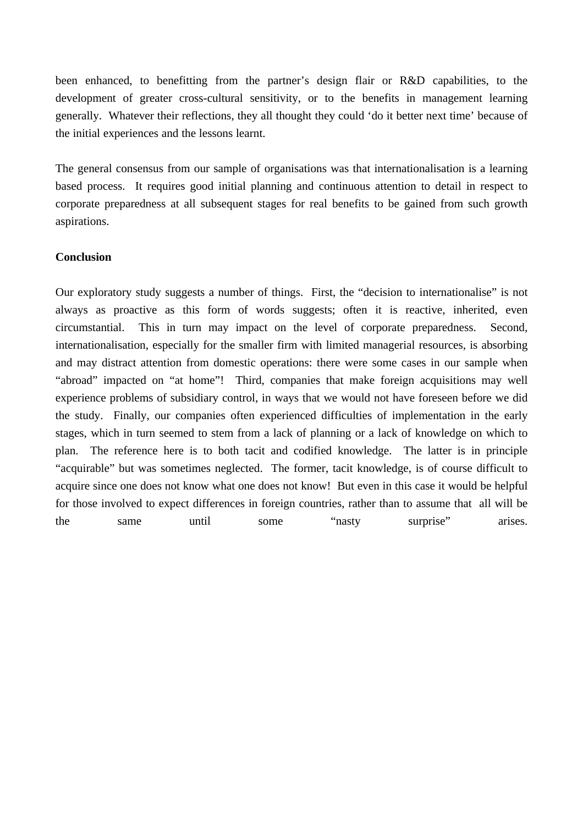been enhanced, to benefitting from the partner's design flair or R&D capabilities, to the development of greater cross-cultural sensitivity, or to the benefits in management learning generally. Whatever their reflections, they all thought they could 'do it better next time' because of the initial experiences and the lessons learnt.

The general consensus from our sample of organisations was that internationalisation is a learning based process. It requires good initial planning and continuous attention to detail in respect to corporate preparedness at all subsequent stages for real benefits to be gained from such growth aspirations.

## **Conclusion**

Our exploratory study suggests a number of things. First, the "decision to internationalise" is not always as proactive as this form of words suggests; often it is reactive, inherited, even circumstantial. This in turn may impact on the level of corporate preparedness. Second, internationalisation, especially for the smaller firm with limited managerial resources, is absorbing and may distract attention from domestic operations: there were some cases in our sample when "abroad" impacted on "at home"! Third, companies that make foreign acquisitions may well experience problems of subsidiary control, in ways that we would not have foreseen before we did the study. Finally, our companies often experienced difficulties of implementation in the early stages, which in turn seemed to stem from a lack of planning or a lack of knowledge on which to plan. The reference here is to both tacit and codified knowledge. The latter is in principle "acquirable" but was sometimes neglected. The former, tacit knowledge, is of course difficult to acquire since one does not know what one does not know! But even in this case it would be helpful for those involved to expect differences in foreign countries, rather than to assume that all will be the same until some "nasty surprise" arises.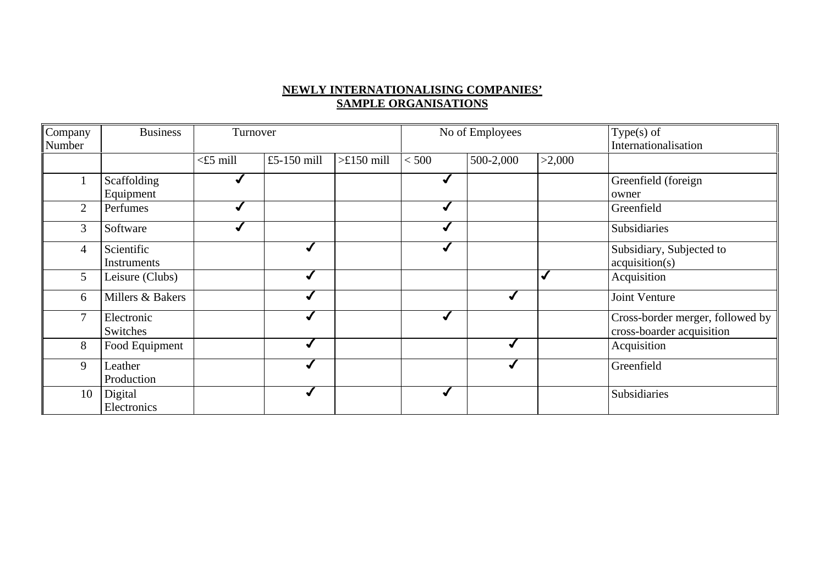# **NEWLY INTERNATIONALISING COMPANIES' SAMPLE ORGANISATIONS**

| Company        | <b>Business</b>  | Turnover    |                |                    | No of Employees |           |        | $Type(s)$ of                     |
|----------------|------------------|-------------|----------------|--------------------|-----------------|-----------|--------|----------------------------------|
| Number         |                  |             |                |                    |                 |           |        | Internationalisation             |
|                |                  | $<$ £5 mill | £5-150 $m$ ill | $>\pounds150$ mill | < 500           | 500-2,000 | >2,000 |                                  |
|                | Scaffolding      |             |                |                    |                 |           |        | Greenfield (foreign              |
|                | Equipment        |             |                |                    |                 |           |        | owner                            |
| 2              | Perfumes         |             |                |                    |                 |           |        | Greenfield                       |
| 3              | Software         |             |                |                    |                 |           |        | Subsidiaries                     |
| $\overline{4}$ | Scientific       |             |                |                    |                 |           |        | Subsidiary, Subjected to         |
|                | Instruments      |             |                |                    |                 |           |        | acquisition(s)                   |
| 5              | Leisure (Clubs)  |             |                |                    |                 |           |        | Acquisition                      |
| 6              | Millers & Bakers |             |                |                    |                 |           |        | Joint Venture                    |
| 7              | Electronic       |             |                |                    |                 |           |        | Cross-border merger, followed by |
|                | Switches         |             |                |                    |                 |           |        | cross-boarder acquisition        |
| 8              | Food Equipment   |             |                |                    |                 |           |        | Acquisition                      |
| 9              | Leather          |             |                |                    |                 |           |        | Greenfield                       |
|                | Production       |             |                |                    |                 |           |        |                                  |
| 10             | Digital          |             |                |                    |                 |           |        | Subsidiaries                     |
|                | Electronics      |             |                |                    |                 |           |        |                                  |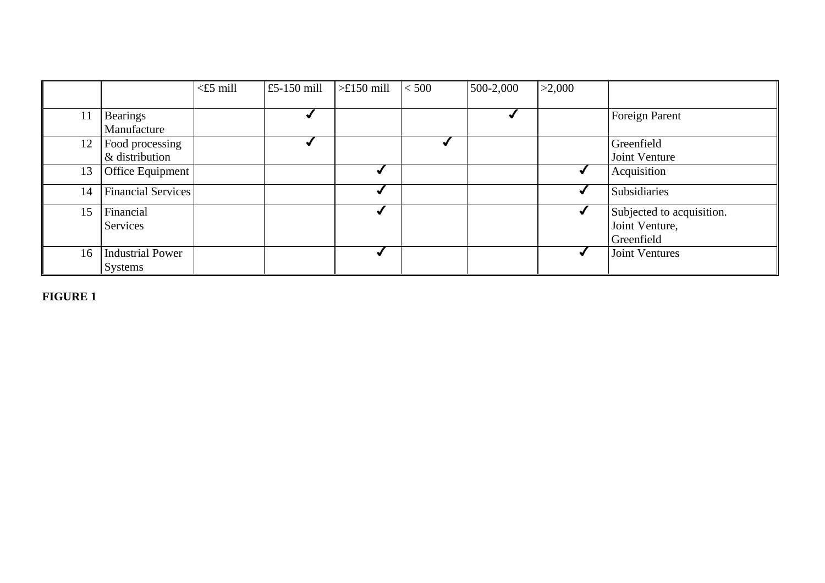|    |                         | $\leq$ £5 mill | £5-150 $m$ ill | $\rightarrow \pounds 150$ mill | < 500 | 500-2,000 | >2,000 |                           |
|----|-------------------------|----------------|----------------|--------------------------------|-------|-----------|--------|---------------------------|
|    |                         |                |                |                                |       |           |        |                           |
| 11 | <b>Bearings</b>         |                |                |                                |       |           |        | Foreign Parent            |
|    | Manufacture             |                |                |                                |       |           |        |                           |
| 12 | Food processing         |                |                |                                |       |           |        | Greenfield                |
|    | & distribution          |                |                |                                |       |           |        | Joint Venture             |
| 13 | Office Equipment        |                |                |                                |       |           |        | Acquisition               |
| 14 | Financial Services      |                |                |                                |       |           |        | Subsidiaries              |
| 15 | Financial               |                |                |                                |       |           |        | Subjected to acquisition. |
|    | Services                |                |                |                                |       |           |        | Joint Venture,            |
|    |                         |                |                |                                |       |           |        | Greenfield                |
| 16 | <b>Industrial Power</b> |                |                |                                |       |           |        | Joint Ventures            |
|    | Systems                 |                |                |                                |       |           |        |                           |

**FIGURE 1**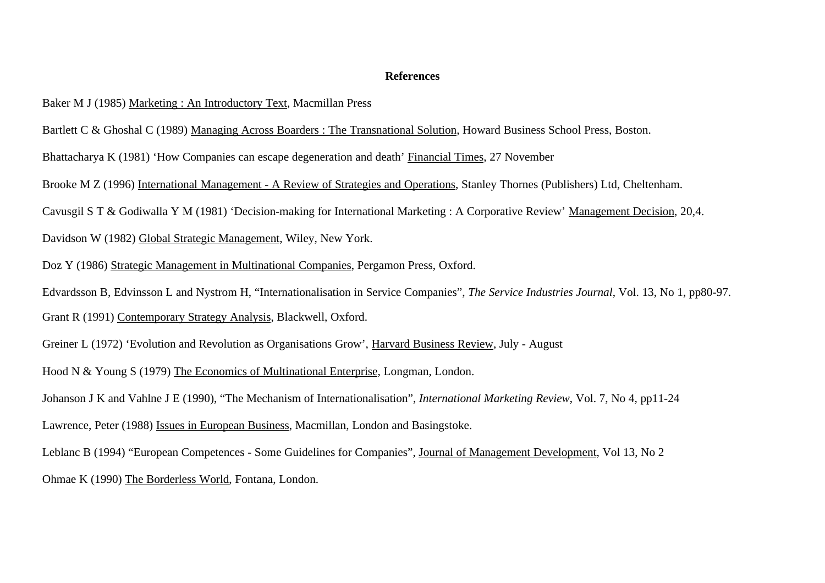#### **References**

- Baker M J (1985) Marketing : An Introductory Text, Macmillan Press
- Bartlett C & Ghoshal C (1989) Managing Across Boarders : The Transnational Solution, Howard Business School Press, Boston.
- Bhattacharya K (1981) 'How Companies can escape degeneration and death' Financial Times, 27 November
- Brooke M Z (1996) International Management A Review of Strategies and Operations, Stanley Thornes (Publishers) Ltd, Cheltenham.
- Cavusgil S T & Godiwalla Y M (1981) 'Decision-making for International Marketing : A Corporative Review' Management Decision, 20,4.
- Davidson W (1982) Global Strategic Management, Wiley, New York.
- Doz Y (1986) Strategic Management in Multinational Companies, Pergamon Press, Oxford.
- Edvardsson B, Edvinsson L and Nystrom H, "Internationalisation in Service Companies", *The Service Industries Journal*, Vol. 13, No 1, pp80-97. Grant R (1991) Contemporary Strategy Analysis, Blackwell, Oxford.
- 
- Greiner L (1972) 'Evolution and Revolution as Organisations Grow', Harvard Business Review, July August
- Hood N & Young S (1979) The Economics of Multinational Enterprise, Longman, London.
- Johanson J K and Vahlne J E (1990), "The Mechanism of Internationalisation", *International Marketing Review*, Vol. 7, No 4, pp11-24
- Lawrence, Peter (1988) Issues in European Business, Macmillan, London and Basingstoke.
- Leblanc B (1994) "European Competences Some Guidelines for Companies", Journal of Management Development, Vol 13, No 2
- Ohmae K (1990) The Borderless World, Fontana, London.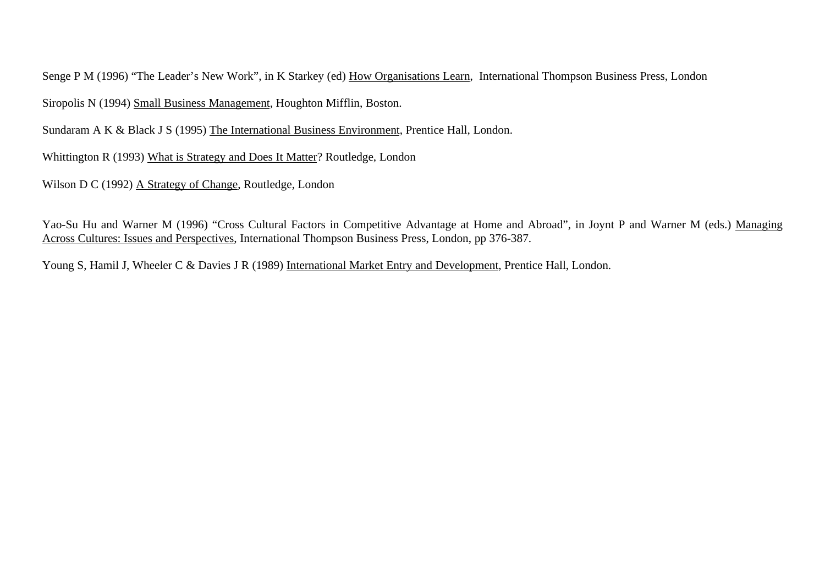Senge P M (1996) "The Leader's New Work", in K Starkey (ed) How Organisations Learn, International Thompson Business Press, London Siropolis N (1994) Small Business Management, Houghton Mifflin, Boston.

Sundaram A K & Black J S (1995) The International Business Environment, Prentice Hall, London.

Whittington R (1993) What is Strategy and Does It Matter? Routledge, London

Wilson D C (1992) A Strategy of Change, Routledge, London

Yao-Su Hu and Warner M (1996) "Cross Cultural Factors in Competitive Advantage at Home and Abroad", in Joynt P and Warner M (eds.) Managing Across Cultures: Issues and Perspectives, International Thompson Business Press, London, pp 376-387.

Young S, Hamil J, Wheeler C & Davies J R (1989) International Market Entry and Development, Prentice Hall, London.